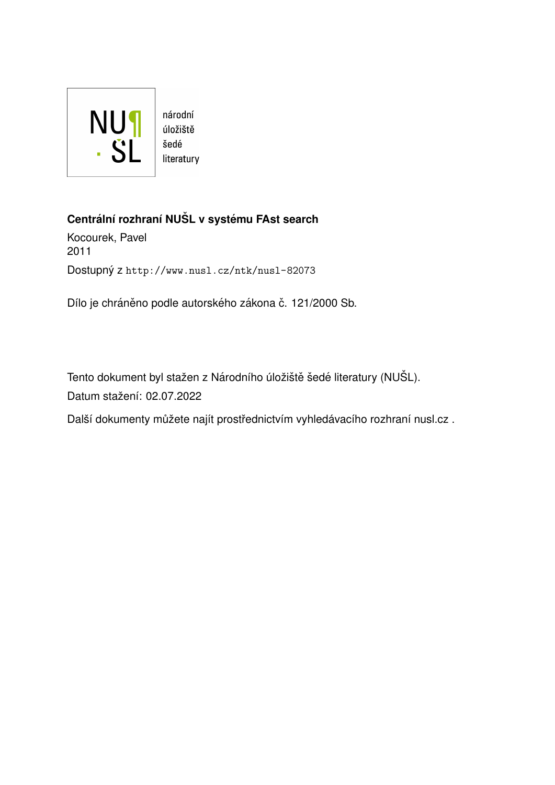

#### **Centrální rozhraní NUŠL v systému FAst search**

Kocourek, Pavel 2011 Dostupný z <http://www.nusl.cz/ntk/nusl-82073>

Dílo je chráněno podle autorského zákona č. 121/2000 Sb.

Tento dokument byl stažen z Národního úložiště šedé literatury (NUŠL). Datum stažení: 02.07.2022

Další dokumenty můžete najít prostřednictvím vyhledávacího rozhraní [nusl.cz](http://www.nusl.cz) .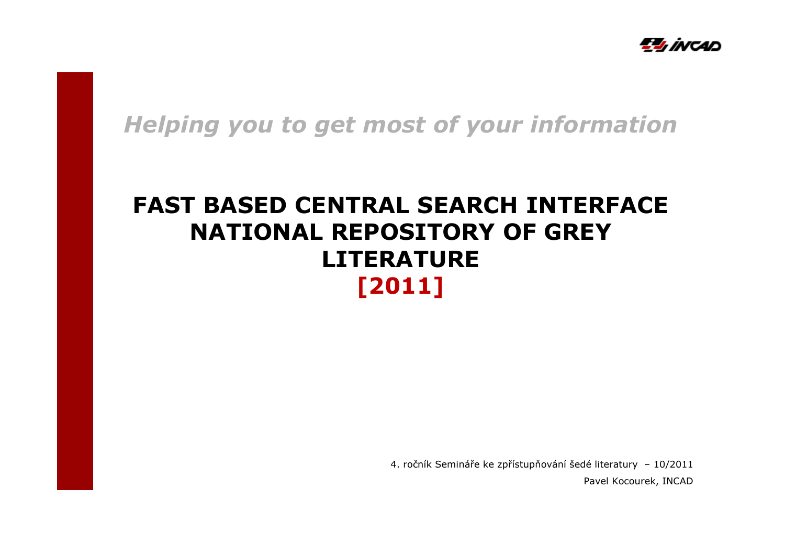

*Helping you to get most of your information*

## **FAST BASED CENTRAL SEARCH INTERFACE NATIONAL REPOSITORY OF GREY LITERATURE[2011]**

4. ročník Semináře ke zpřístupňování šedé literatury – 10/2011 Pavel Kocourek, INCAD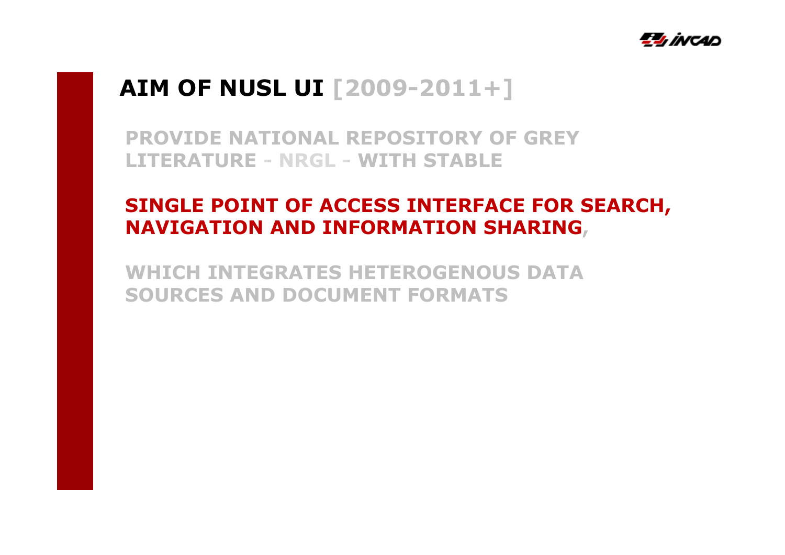

## **AIM OF NUSL UI [2009-2011+]**

**PROVIDE NATIONAL REPOSITORY OF GREY LITERATURE - NRGL - WITH STABLE** 

# **SINGLE POINT OF ACCESS INTERFACE FOR SEARCH, NAVIGATION AND INFORMATION SHARING,**

**WHICH INTEGRATES HETEROGENOUS DATA SOURCES AND DOCUMENT FORMATS**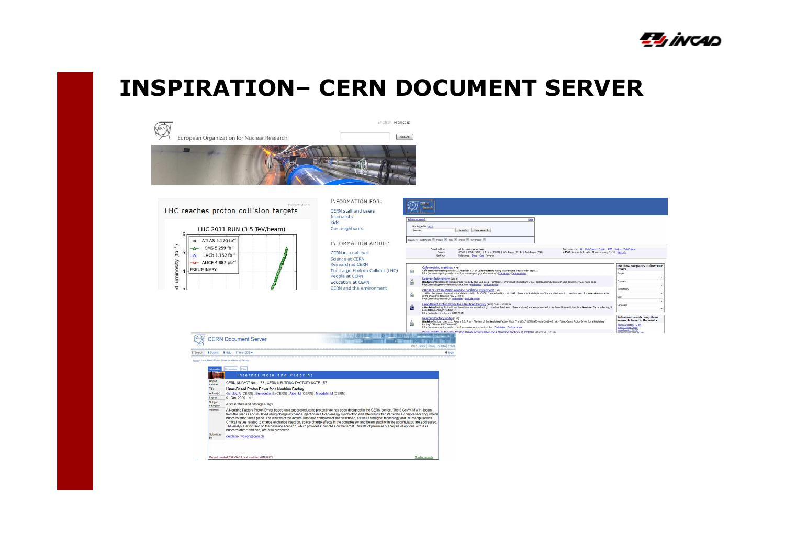

# **INSPIRATION– CERN DOCUMENT SERVER**

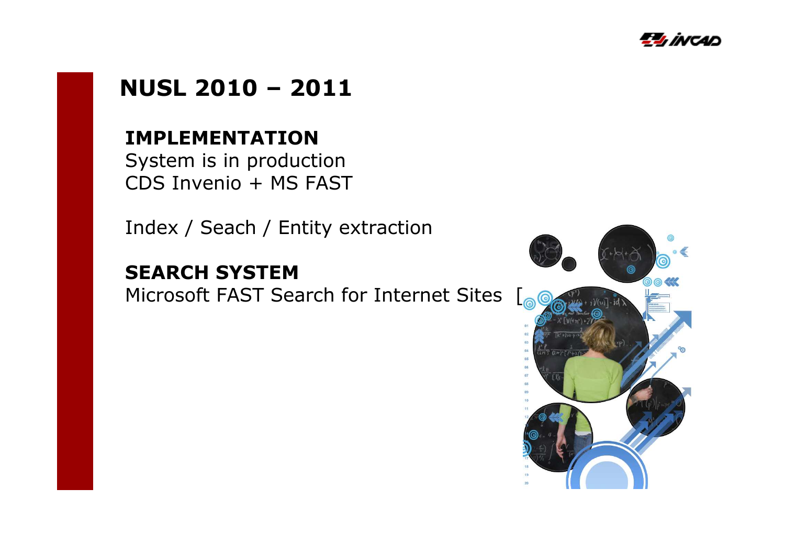

#### **NUSL 2010 – <sup>2011</sup>**

#### **IMPLEMENTATION**

System is in production CDS Invenio + MS FAST

Index / Seach / Entity extraction

#### **SEARCH SYSTEM**

Microsoft FAST Search for Internet Sites [<sub>@</sub>@@

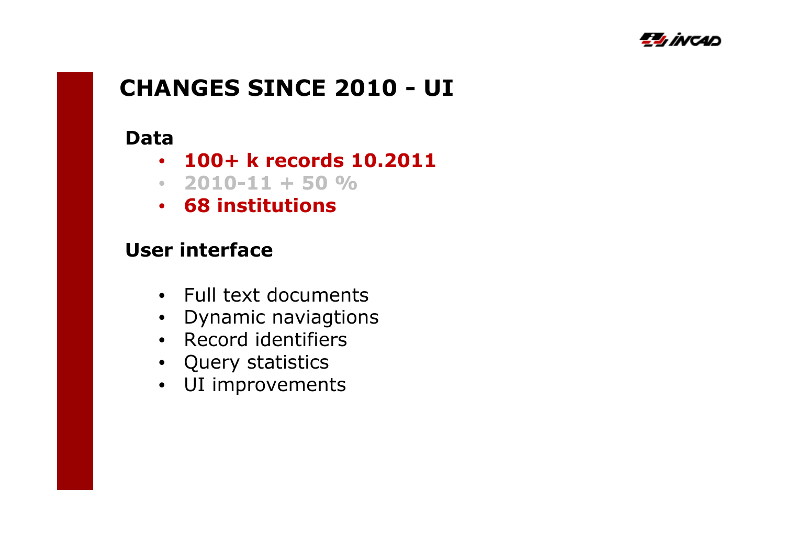

## **CHANGES SINCE 2010 - UI**

#### **Data**

- **100+ k records 10.2011**
- **2010-11 + 50 %**
- **68 institutions**

#### **User interface**

- Full text documents
- Dynamic naviagtions
- Record identifiers
- Query statistics
- UI improvements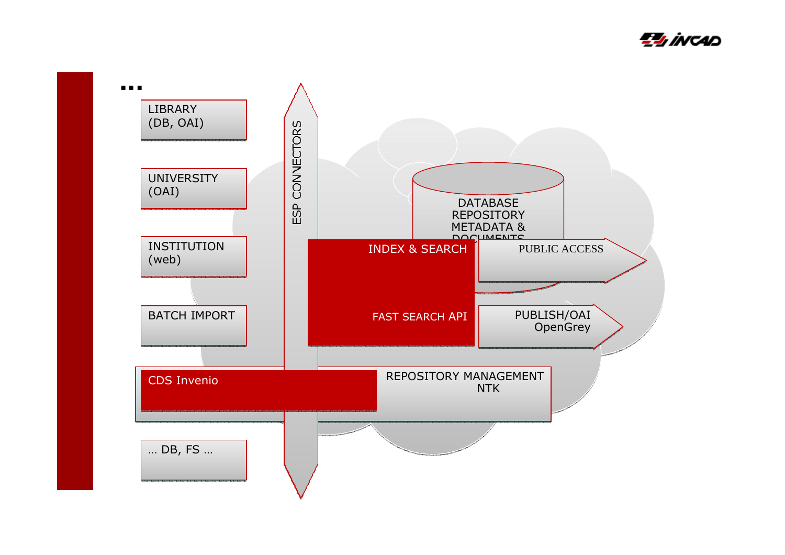

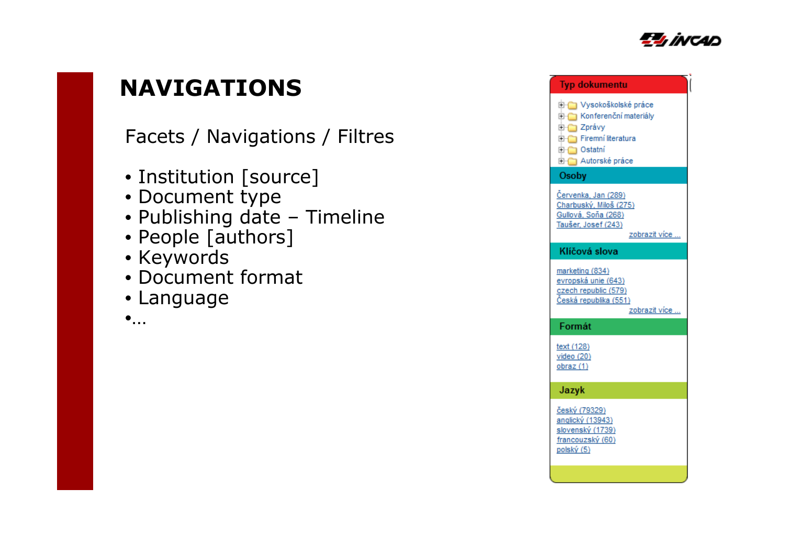

## **NAVIGATIONS**

Facets / Navigations / Filtres

- Institution [source]
- Document type
- Publishing date Timeline<br>• People Lauthors1
- People [authors]
- Keywords
- Document format
- Language
- •…

| Uysokoškolské práce<br><b>E-C</b> Konferenční materiály<br>E-C Zprávy<br>Firemní literatura<br><b>E</b> Ostatní<br>Autorské práce |
|-----------------------------------------------------------------------------------------------------------------------------------|
| Osoby                                                                                                                             |
| Červenka, Jan (289)<br>Charbuský, Miloš (275)<br>Gullová, Soňa (268)<br>Taušer, Josef (243)<br>zobrazit více                      |
| Klíčová slova                                                                                                                     |
| marketing (834)<br>evropská unie (643)<br>czech republic (579)<br>Česká republika (551)<br>zobrazit více                          |
| Formát                                                                                                                            |
| text (128)<br>video $(20)$<br>obraz (1)                                                                                           |
| Jazyk                                                                                                                             |
| český (79329)<br>anglický (13943)<br>slovenský (1739)<br>francouzský (60)<br>polský (5)                                           |
|                                                                                                                                   |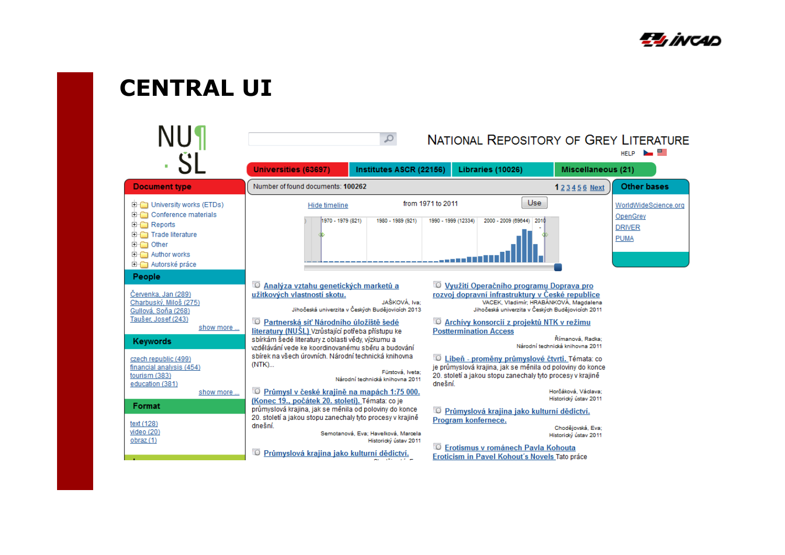

## **CENTRAL UI**

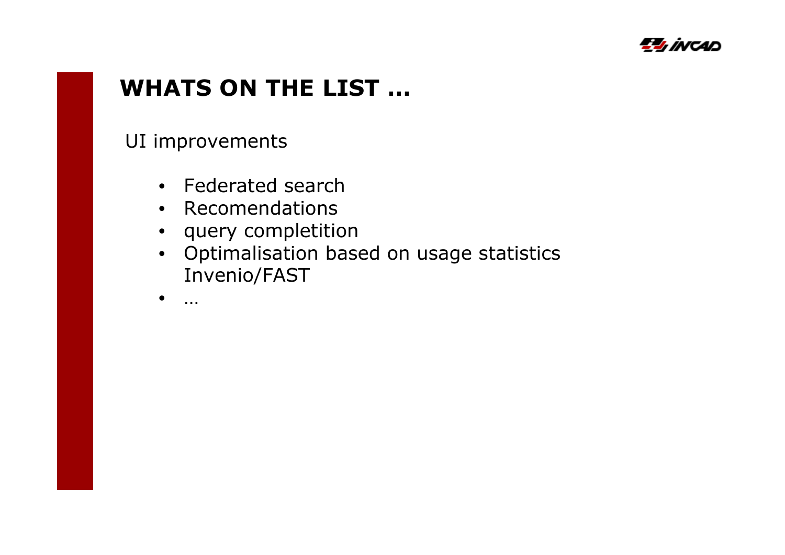

### **WHATS ON THE LIST …**

UI improvements

- Federated search
- Recomendations
- query completition
- Optimalisation based on usage statistics Invenio/FAST
- •…